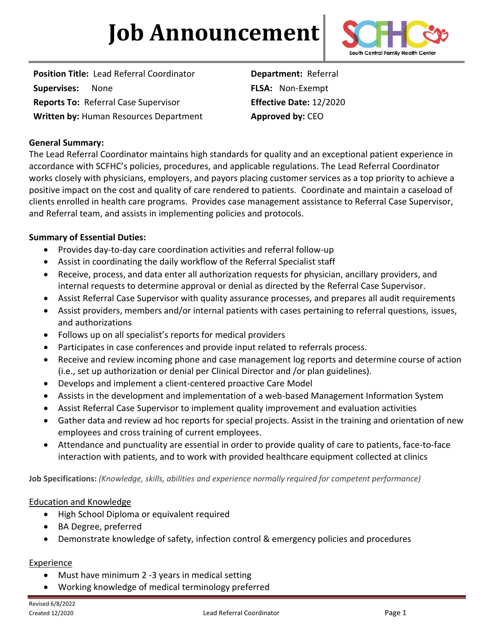# **Job Announcement**



**Position Title:** Lead Referral Coordinator **Department:** Referral **Supervises:** None **FLSA:** Non-Exempt **Reports To:** Referral Case Supervisor **Effective Date:** 12/2020 **Written by:** Human Resources Department **Approved by:** CEO

# **General Summary:**

The Lead Referral Coordinator maintains high standards for quality and an exceptional patient experience in accordance with SCFHC's policies, procedures, and applicable regulations. The Lead Referral Coordinator works closely with physicians, employers, and payors placing customer services as a top priority to achieve a positive impact on the cost and quality of care rendered to patients.Coordinate and maintain a caseload of clients enrolled in health care programs. Provides case management assistance to Referral Case Supervisor, and Referral team, and assists in implementing policies and protocols.

# **Summary of Essential Duties:**

- Provides day-to-day care coordination activities and referral follow-up
- Assist in coordinating the daily workflow of the Referral Specialist staff
- Receive, process, and data enter all authorization requests for physician, ancillary providers, and internal requests to determine approval or denial as directed by the Referral Case Supervisor.
- Assist Referral Case Supervisor with quality assurance processes, and prepares all audit requirements
- Assist providers, members and/or internal patients with cases pertaining to referral questions, issues, and authorizations
- Follows up on all specialist's reports for medical providers
- Participates in case conferences and provide input related to referrals process.
- Receive and review incoming phone and case management log reports and determine course of action (i.e., set up authorization or denial per Clinical Director and /or plan guidelines).
- Develops and implement a client-centered proactive Care Model
- Assists in the development and implementation of a web-based Management Information System
- Assist Referral Case Supervisor to implement quality improvement and evaluation activities
- Gather data and review ad hoc reports for special projects. Assist in the training and orientation of new employees and cross training of current employees.
- Attendance and punctuality are essential in order to provide quality of care to patients, face-to-face interaction with patients, and to work with provided healthcare equipment collected at clinics

**Job Specifications:** *(Knowledge, skills, abilities and experience normally required for competent performance)*

## Education and Knowledge

- High School Diploma or equivalent required
- BA Degree, preferred
- Demonstrate knowledge of safety, infection control & emergency policies and procedures

## **Experience**

- Must have minimum 2 -3 years in medical setting
- Working knowledge of medical terminology preferred